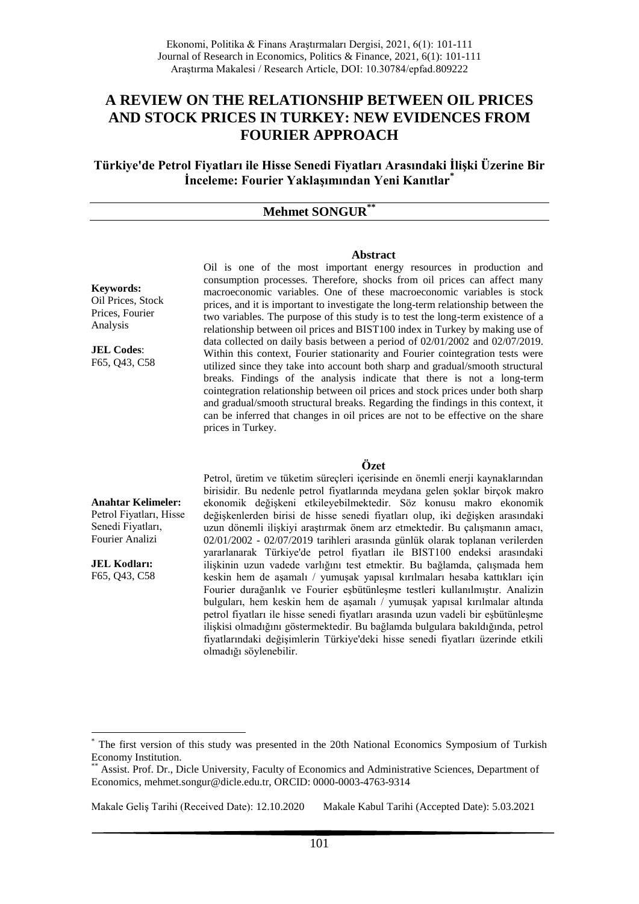# **A REVIEW ON THE RELATIONSHIP BETWEEN OIL PRICES AND STOCK PRICES IN TURKEY: NEW EVIDENCES FROM FOURIER APPROACH**

**Türkiye'de Petrol Fiyatları ile Hisse Senedi Fiyatları Arasındaki İlişki Üzerine Bir İnceleme: Fourier Yaklaşımından Yeni Kanıtlar\***

### **Mehmet SONGUR\*\***

#### **Abstract**

**Keywords:** Oil Prices, Stock Prices, Fourier Analysis

**JEL Codes**: F65, Q43, C58 Oil is one of the most important energy resources in production and consumption processes. Therefore, shocks from oil prices can affect many macroeconomic variables. One of these macroeconomic variables is stock prices, and it is important to investigate the long-term relationship between the two variables. The purpose of this study is to test the long-term existence of a relationship between oil prices and BIST100 index in Turkey by making use of data collected on daily basis between a period of 02/01/2002 and 02/07/2019. Within this context, Fourier stationarity and Fourier cointegration tests were utilized since they take into account both sharp and gradual/smooth structural breaks. Findings of the analysis indicate that there is not a long-term cointegration relationship between oil prices and stock prices under both sharp and gradual/smooth structural breaks. Regarding the findings in this context, it can be inferred that changes in oil prices are not to be effective on the share prices in Turkey.

#### **Özet**

**Anahtar Kelimeler:** Petrol Fiyatları, Hisse Senedi Fiyatları, Fourier Analizi

**JEL Kodları:** F65, Q43, C58

1

Petrol, üretim ve tüketim süreçleri içerisinde en önemli enerji kaynaklarından birisidir. Bu nedenle petrol fiyatlarında meydana gelen şoklar birçok makro ekonomik değişkeni etkileyebilmektedir. Söz konusu makro ekonomik değişkenlerden birisi de hisse senedi fiyatları olup, iki değişken arasındaki uzun dönemli ilişkiyi araştırmak önem arz etmektedir. Bu çalışmanın amacı, 02/01/2002 - 02/07/2019 tarihleri arasında günlük olarak toplanan verilerden yararlanarak Türkiye'de petrol fiyatları ile BIST100 endeksi arasındaki ilişkinin uzun vadede varlığını test etmektir. Bu bağlamda, çalışmada hem keskin hem de aşamalı / yumuşak yapısal kırılmaları hesaba kattıkları için Fourier durağanlık ve Fourier eşbütünleşme testleri kullanılmıştır. Analizin bulguları, hem keskin hem de aşamalı / yumuşak yapısal kırılmalar altında petrol fiyatları ile hisse senedi fiyatları arasında uzun vadeli bir eşbütünleşme ilişkisi olmadığını göstermektedir. Bu bağlamda bulgulara bakıldığında, petrol fiyatlarındaki değişimlerin Türkiye'deki hisse senedi fiyatları üzerinde etkili olmadığı söylenebilir.

The first version of this study was presented in the 20th National Economics Symposium of Turkish Economy Institution.

<sup>\*\*</sup> Assist. Prof. Dr., Dicle University, Faculty of Economics and Administrative Sciences, Department of Economics, mehmet.songur@dicle.edu.tr, ORCID: 0000-0003-4763-9314

Makale Geliş Tarihi (Received Date): 12.10.2020 Makale Kabul Tarihi (Accepted Date): 5.03.2021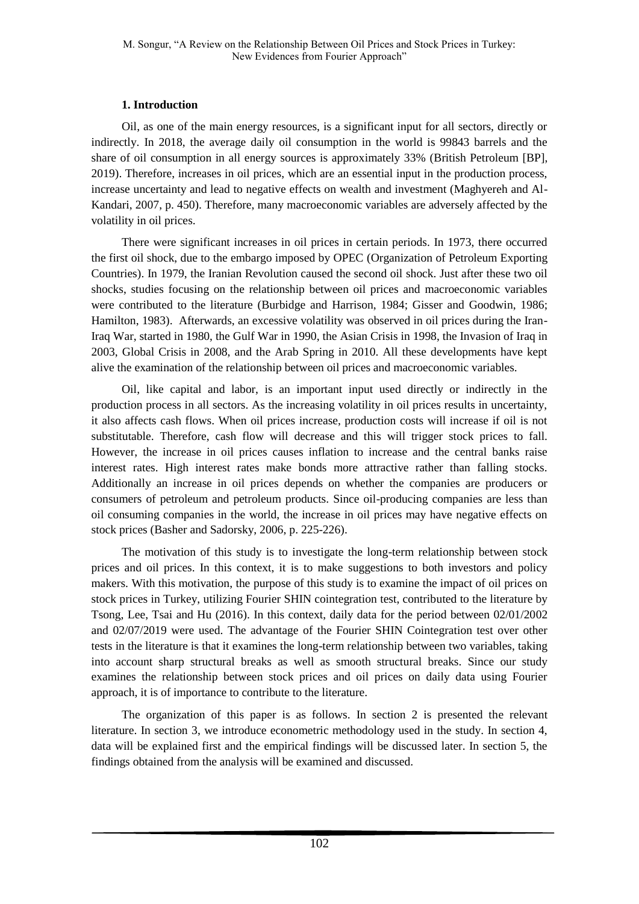## **1. Introduction**

Oil, as one of the main energy resources, is a significant input for all sectors, directly or indirectly. In 2018, the average daily oil consumption in the world is 99843 barrels and the share of oil consumption in all energy sources is approximately 33% (British Petroleum [BP], 2019). Therefore, increases in oil prices, which are an essential input in the production process, increase uncertainty and lead to negative effects on wealth and investment (Maghyereh and Al-Kandari, 2007, p. 450). Therefore, many macroeconomic variables are adversely affected by the volatility in oil prices.

There were significant increases in oil prices in certain periods. In 1973, there occurred the first oil shock, due to the embargo imposed by OPEC (Organization of Petroleum Exporting Countries). In 1979, the Iranian Revolution caused the second oil shock. Just after these two oil shocks, studies focusing on the relationship between oil prices and macroeconomic variables were contributed to the literature (Burbidge and Harrison, 1984; Gisser and Goodwin, 1986; Hamilton, 1983). Afterwards, an excessive volatility was observed in oil prices during the Iran-Iraq War, started in 1980, the Gulf War in 1990, the Asian Crisis in 1998, the Invasion of Iraq in 2003, Global Crisis in 2008, and the Arab Spring in 2010. All these developments have kept alive the examination of the relationship between oil prices and macroeconomic variables.

Oil, like capital and labor, is an important input used directly or indirectly in the production process in all sectors. As the increasing volatility in oil prices results in uncertainty, it also affects cash flows. When oil prices increase, production costs will increase if oil is not substitutable. Therefore, cash flow will decrease and this will trigger stock prices to fall. However, the increase in oil prices causes inflation to increase and the central banks raise interest rates. High interest rates make bonds more attractive rather than falling stocks. Additionally an increase in oil prices depends on whether the companies are producers or consumers of petroleum and petroleum products. Since oil-producing companies are less than oil consuming companies in the world, the increase in oil prices may have negative effects on stock prices (Basher and Sadorsky, 2006, p. 225-226).

The motivation of this study is to investigate the long-term relationship between stock prices and oil prices. In this context, it is to make suggestions to both investors and policy makers. With this motivation, the purpose of this study is to examine the impact of oil prices on stock prices in Turkey, utilizing Fourier SHIN cointegration test, contributed to the literature by Tsong, Lee, Tsai and Hu (2016). In this context, daily data for the period between 02/01/2002 and 02/07/2019 were used. The advantage of the Fourier SHIN Cointegration test over other tests in the literature is that it examines the long-term relationship between two variables, taking into account sharp structural breaks as well as smooth structural breaks. Since our study examines the relationship between stock prices and oil prices on daily data using Fourier approach, it is of importance to contribute to the literature.

The organization of this paper is as follows. In section 2 is presented the relevant literature. In section 3, we introduce econometric methodology used in the study. In section 4, data will be explained first and the empirical findings will be discussed later. In section 5, the findings obtained from the analysis will be examined and discussed.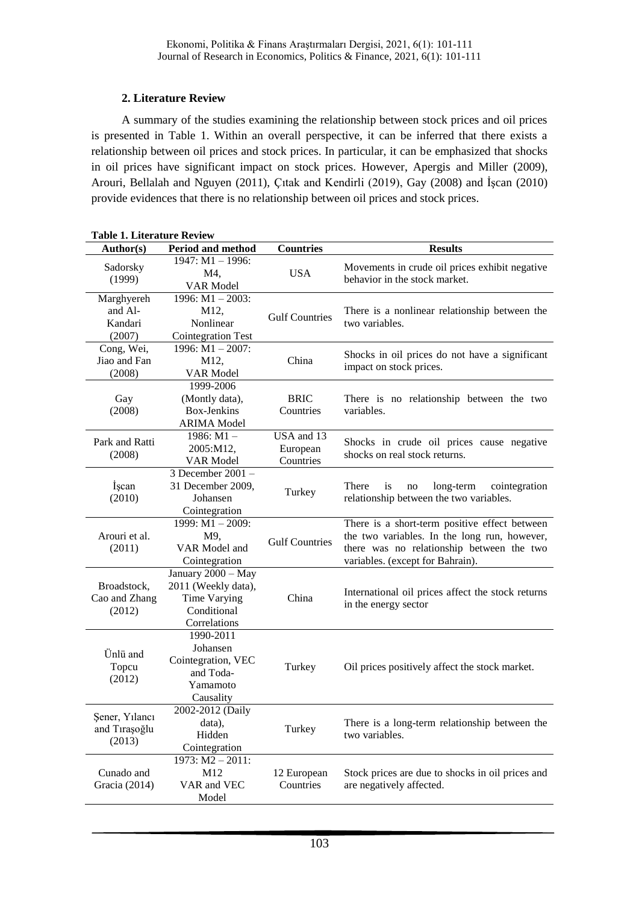## **2. Literature Review**

A summary of the studies examining the relationship between stock prices and oil prices is presented in Table 1. Within an overall perspective, it can be inferred that there exists a relationship between oil prices and stock prices. In particular, it can be emphasized that shocks in oil prices have significant impact on stock prices. However, Apergis and Miller (2009), Arouri, Bellalah and Nguyen (2011), Çıtak and Kendirli (2019), Gay (2008) and İşcan (2010) provide evidences that there is no relationship between oil prices and stock prices.

| 1947: M1-1996:<br>Movements in crude oil prices exhibit negative<br>Sadorsky<br><b>USA</b><br>M4,<br>behavior in the stock market.<br>(1999)<br>VAR Model<br>1996: $M1 - 2003$ :<br>Marghyereh<br>and Al-<br>M12,<br>There is a nonlinear relationship between the<br><b>Gulf Countries</b><br>Kandari<br>two variables.<br>Nonlinear<br>(2007)<br><b>Cointegration Test</b><br>Cong, Wei,<br>1996: $M1 - 2007$ :<br>Shocks in oil prices do not have a significant<br>Jiao and Fan<br>China<br>M12,<br>impact on stock prices.<br>(2008)<br>VAR Model<br>1999-2006<br>(Montly data),<br><b>BRIC</b><br>There is no relationship between the two<br>Gay<br><b>Box-Jenkins</b><br>(2008)<br>Countries<br>variables.<br><b>ARIMA</b> Model<br>1986: M1-<br>USA and 13<br>Park and Ratti<br>Shocks in crude oil prices cause negative<br>2005:M12,<br>European<br>shocks on real stock returns.<br>(2008)<br>Countries<br>VAR Model<br>3 December 2001 -<br>İşcan<br>31 December 2009,<br>There<br>is<br>long-term<br>cointegration<br>no<br>Turkey<br>(2010)<br>Johansen<br>relationship between the two variables.<br>Cointegration<br>$1999: M1 - 2009:$<br>There is a short-term positive effect between<br>the two variables. In the long run, however,<br>Arouri et al.<br>M9,<br><b>Gulf Countries</b><br>VAR Model and<br>there was no relationship between the two<br>(2011)<br>Cointegration<br>variables. (except for Bahrain).<br>January 2000 - May<br>Broadstock,<br>2011 (Weekly data),<br>International oil prices affect the stock returns<br>Cao and Zhang<br>Time Varying<br>China<br>in the energy sector<br>Conditional<br>(2012)<br>Correlations<br>1990-2011<br>Johansen<br>Ünlü and<br>Cointegration, VEC<br>Topcu<br>Turkey<br>Oil prices positively affect the stock market.<br>and Toda-<br>(2012)<br>Yamamoto<br>Causality<br>2002-2012 (Daily<br>Şener, Yılancı<br>There is a long-term relationship between the<br>data),<br>Turkey<br>and Tıraşoğlu<br>Hidden<br>two variables.<br>(2013)<br>Cointegration<br>$1973: M2 - 2011:$<br>Cunado and<br>M12<br>Stock prices are due to shocks in oil prices and<br>12 European<br>Gracia (2014)<br>VAR and VEC<br>Countries<br>are negatively affected.<br>Model | <b>Table 1. Literature Review</b> |                          |                  |                |  |  |
|----------------------------------------------------------------------------------------------------------------------------------------------------------------------------------------------------------------------------------------------------------------------------------------------------------------------------------------------------------------------------------------------------------------------------------------------------------------------------------------------------------------------------------------------------------------------------------------------------------------------------------------------------------------------------------------------------------------------------------------------------------------------------------------------------------------------------------------------------------------------------------------------------------------------------------------------------------------------------------------------------------------------------------------------------------------------------------------------------------------------------------------------------------------------------------------------------------------------------------------------------------------------------------------------------------------------------------------------------------------------------------------------------------------------------------------------------------------------------------------------------------------------------------------------------------------------------------------------------------------------------------------------------------------------------------------------------------------------------------------------------------------------------------------------------------------------------------------------------------------------------------------------------------------------------------------------------------------------------------------------------------------------------------------------------------------------------------------------------------------------------------------------------------------------------------------------------------------------------------------|-----------------------------------|--------------------------|------------------|----------------|--|--|
|                                                                                                                                                                                                                                                                                                                                                                                                                                                                                                                                                                                                                                                                                                                                                                                                                                                                                                                                                                                                                                                                                                                                                                                                                                                                                                                                                                                                                                                                                                                                                                                                                                                                                                                                                                                                                                                                                                                                                                                                                                                                                                                                                                                                                                        | Author(s)                         | <b>Period and method</b> | <b>Countries</b> | <b>Results</b> |  |  |
|                                                                                                                                                                                                                                                                                                                                                                                                                                                                                                                                                                                                                                                                                                                                                                                                                                                                                                                                                                                                                                                                                                                                                                                                                                                                                                                                                                                                                                                                                                                                                                                                                                                                                                                                                                                                                                                                                                                                                                                                                                                                                                                                                                                                                                        |                                   |                          |                  |                |  |  |
|                                                                                                                                                                                                                                                                                                                                                                                                                                                                                                                                                                                                                                                                                                                                                                                                                                                                                                                                                                                                                                                                                                                                                                                                                                                                                                                                                                                                                                                                                                                                                                                                                                                                                                                                                                                                                                                                                                                                                                                                                                                                                                                                                                                                                                        |                                   |                          |                  |                |  |  |
|                                                                                                                                                                                                                                                                                                                                                                                                                                                                                                                                                                                                                                                                                                                                                                                                                                                                                                                                                                                                                                                                                                                                                                                                                                                                                                                                                                                                                                                                                                                                                                                                                                                                                                                                                                                                                                                                                                                                                                                                                                                                                                                                                                                                                                        |                                   |                          |                  |                |  |  |
|                                                                                                                                                                                                                                                                                                                                                                                                                                                                                                                                                                                                                                                                                                                                                                                                                                                                                                                                                                                                                                                                                                                                                                                                                                                                                                                                                                                                                                                                                                                                                                                                                                                                                                                                                                                                                                                                                                                                                                                                                                                                                                                                                                                                                                        |                                   |                          |                  |                |  |  |
|                                                                                                                                                                                                                                                                                                                                                                                                                                                                                                                                                                                                                                                                                                                                                                                                                                                                                                                                                                                                                                                                                                                                                                                                                                                                                                                                                                                                                                                                                                                                                                                                                                                                                                                                                                                                                                                                                                                                                                                                                                                                                                                                                                                                                                        |                                   |                          |                  |                |  |  |
|                                                                                                                                                                                                                                                                                                                                                                                                                                                                                                                                                                                                                                                                                                                                                                                                                                                                                                                                                                                                                                                                                                                                                                                                                                                                                                                                                                                                                                                                                                                                                                                                                                                                                                                                                                                                                                                                                                                                                                                                                                                                                                                                                                                                                                        |                                   |                          |                  |                |  |  |
|                                                                                                                                                                                                                                                                                                                                                                                                                                                                                                                                                                                                                                                                                                                                                                                                                                                                                                                                                                                                                                                                                                                                                                                                                                                                                                                                                                                                                                                                                                                                                                                                                                                                                                                                                                                                                                                                                                                                                                                                                                                                                                                                                                                                                                        |                                   |                          |                  |                |  |  |
|                                                                                                                                                                                                                                                                                                                                                                                                                                                                                                                                                                                                                                                                                                                                                                                                                                                                                                                                                                                                                                                                                                                                                                                                                                                                                                                                                                                                                                                                                                                                                                                                                                                                                                                                                                                                                                                                                                                                                                                                                                                                                                                                                                                                                                        |                                   |                          |                  |                |  |  |
|                                                                                                                                                                                                                                                                                                                                                                                                                                                                                                                                                                                                                                                                                                                                                                                                                                                                                                                                                                                                                                                                                                                                                                                                                                                                                                                                                                                                                                                                                                                                                                                                                                                                                                                                                                                                                                                                                                                                                                                                                                                                                                                                                                                                                                        |                                   |                          |                  |                |  |  |
|                                                                                                                                                                                                                                                                                                                                                                                                                                                                                                                                                                                                                                                                                                                                                                                                                                                                                                                                                                                                                                                                                                                                                                                                                                                                                                                                                                                                                                                                                                                                                                                                                                                                                                                                                                                                                                                                                                                                                                                                                                                                                                                                                                                                                                        |                                   |                          |                  |                |  |  |
|                                                                                                                                                                                                                                                                                                                                                                                                                                                                                                                                                                                                                                                                                                                                                                                                                                                                                                                                                                                                                                                                                                                                                                                                                                                                                                                                                                                                                                                                                                                                                                                                                                                                                                                                                                                                                                                                                                                                                                                                                                                                                                                                                                                                                                        |                                   |                          |                  |                |  |  |
|                                                                                                                                                                                                                                                                                                                                                                                                                                                                                                                                                                                                                                                                                                                                                                                                                                                                                                                                                                                                                                                                                                                                                                                                                                                                                                                                                                                                                                                                                                                                                                                                                                                                                                                                                                                                                                                                                                                                                                                                                                                                                                                                                                                                                                        |                                   |                          |                  |                |  |  |
|                                                                                                                                                                                                                                                                                                                                                                                                                                                                                                                                                                                                                                                                                                                                                                                                                                                                                                                                                                                                                                                                                                                                                                                                                                                                                                                                                                                                                                                                                                                                                                                                                                                                                                                                                                                                                                                                                                                                                                                                                                                                                                                                                                                                                                        |                                   |                          |                  |                |  |  |
|                                                                                                                                                                                                                                                                                                                                                                                                                                                                                                                                                                                                                                                                                                                                                                                                                                                                                                                                                                                                                                                                                                                                                                                                                                                                                                                                                                                                                                                                                                                                                                                                                                                                                                                                                                                                                                                                                                                                                                                                                                                                                                                                                                                                                                        |                                   |                          |                  |                |  |  |
|                                                                                                                                                                                                                                                                                                                                                                                                                                                                                                                                                                                                                                                                                                                                                                                                                                                                                                                                                                                                                                                                                                                                                                                                                                                                                                                                                                                                                                                                                                                                                                                                                                                                                                                                                                                                                                                                                                                                                                                                                                                                                                                                                                                                                                        |                                   |                          |                  |                |  |  |
|                                                                                                                                                                                                                                                                                                                                                                                                                                                                                                                                                                                                                                                                                                                                                                                                                                                                                                                                                                                                                                                                                                                                                                                                                                                                                                                                                                                                                                                                                                                                                                                                                                                                                                                                                                                                                                                                                                                                                                                                                                                                                                                                                                                                                                        |                                   |                          |                  |                |  |  |
|                                                                                                                                                                                                                                                                                                                                                                                                                                                                                                                                                                                                                                                                                                                                                                                                                                                                                                                                                                                                                                                                                                                                                                                                                                                                                                                                                                                                                                                                                                                                                                                                                                                                                                                                                                                                                                                                                                                                                                                                                                                                                                                                                                                                                                        |                                   |                          |                  |                |  |  |
|                                                                                                                                                                                                                                                                                                                                                                                                                                                                                                                                                                                                                                                                                                                                                                                                                                                                                                                                                                                                                                                                                                                                                                                                                                                                                                                                                                                                                                                                                                                                                                                                                                                                                                                                                                                                                                                                                                                                                                                                                                                                                                                                                                                                                                        |                                   |                          |                  |                |  |  |
|                                                                                                                                                                                                                                                                                                                                                                                                                                                                                                                                                                                                                                                                                                                                                                                                                                                                                                                                                                                                                                                                                                                                                                                                                                                                                                                                                                                                                                                                                                                                                                                                                                                                                                                                                                                                                                                                                                                                                                                                                                                                                                                                                                                                                                        |                                   |                          |                  |                |  |  |
|                                                                                                                                                                                                                                                                                                                                                                                                                                                                                                                                                                                                                                                                                                                                                                                                                                                                                                                                                                                                                                                                                                                                                                                                                                                                                                                                                                                                                                                                                                                                                                                                                                                                                                                                                                                                                                                                                                                                                                                                                                                                                                                                                                                                                                        |                                   |                          |                  |                |  |  |
|                                                                                                                                                                                                                                                                                                                                                                                                                                                                                                                                                                                                                                                                                                                                                                                                                                                                                                                                                                                                                                                                                                                                                                                                                                                                                                                                                                                                                                                                                                                                                                                                                                                                                                                                                                                                                                                                                                                                                                                                                                                                                                                                                                                                                                        |                                   |                          |                  |                |  |  |
|                                                                                                                                                                                                                                                                                                                                                                                                                                                                                                                                                                                                                                                                                                                                                                                                                                                                                                                                                                                                                                                                                                                                                                                                                                                                                                                                                                                                                                                                                                                                                                                                                                                                                                                                                                                                                                                                                                                                                                                                                                                                                                                                                                                                                                        |                                   |                          |                  |                |  |  |
|                                                                                                                                                                                                                                                                                                                                                                                                                                                                                                                                                                                                                                                                                                                                                                                                                                                                                                                                                                                                                                                                                                                                                                                                                                                                                                                                                                                                                                                                                                                                                                                                                                                                                                                                                                                                                                                                                                                                                                                                                                                                                                                                                                                                                                        |                                   |                          |                  |                |  |  |
|                                                                                                                                                                                                                                                                                                                                                                                                                                                                                                                                                                                                                                                                                                                                                                                                                                                                                                                                                                                                                                                                                                                                                                                                                                                                                                                                                                                                                                                                                                                                                                                                                                                                                                                                                                                                                                                                                                                                                                                                                                                                                                                                                                                                                                        |                                   |                          |                  |                |  |  |
|                                                                                                                                                                                                                                                                                                                                                                                                                                                                                                                                                                                                                                                                                                                                                                                                                                                                                                                                                                                                                                                                                                                                                                                                                                                                                                                                                                                                                                                                                                                                                                                                                                                                                                                                                                                                                                                                                                                                                                                                                                                                                                                                                                                                                                        |                                   |                          |                  |                |  |  |
|                                                                                                                                                                                                                                                                                                                                                                                                                                                                                                                                                                                                                                                                                                                                                                                                                                                                                                                                                                                                                                                                                                                                                                                                                                                                                                                                                                                                                                                                                                                                                                                                                                                                                                                                                                                                                                                                                                                                                                                                                                                                                                                                                                                                                                        |                                   |                          |                  |                |  |  |
|                                                                                                                                                                                                                                                                                                                                                                                                                                                                                                                                                                                                                                                                                                                                                                                                                                                                                                                                                                                                                                                                                                                                                                                                                                                                                                                                                                                                                                                                                                                                                                                                                                                                                                                                                                                                                                                                                                                                                                                                                                                                                                                                                                                                                                        |                                   |                          |                  |                |  |  |
|                                                                                                                                                                                                                                                                                                                                                                                                                                                                                                                                                                                                                                                                                                                                                                                                                                                                                                                                                                                                                                                                                                                                                                                                                                                                                                                                                                                                                                                                                                                                                                                                                                                                                                                                                                                                                                                                                                                                                                                                                                                                                                                                                                                                                                        |                                   |                          |                  |                |  |  |
|                                                                                                                                                                                                                                                                                                                                                                                                                                                                                                                                                                                                                                                                                                                                                                                                                                                                                                                                                                                                                                                                                                                                                                                                                                                                                                                                                                                                                                                                                                                                                                                                                                                                                                                                                                                                                                                                                                                                                                                                                                                                                                                                                                                                                                        |                                   |                          |                  |                |  |  |
|                                                                                                                                                                                                                                                                                                                                                                                                                                                                                                                                                                                                                                                                                                                                                                                                                                                                                                                                                                                                                                                                                                                                                                                                                                                                                                                                                                                                                                                                                                                                                                                                                                                                                                                                                                                                                                                                                                                                                                                                                                                                                                                                                                                                                                        |                                   |                          |                  |                |  |  |
|                                                                                                                                                                                                                                                                                                                                                                                                                                                                                                                                                                                                                                                                                                                                                                                                                                                                                                                                                                                                                                                                                                                                                                                                                                                                                                                                                                                                                                                                                                                                                                                                                                                                                                                                                                                                                                                                                                                                                                                                                                                                                                                                                                                                                                        |                                   |                          |                  |                |  |  |
|                                                                                                                                                                                                                                                                                                                                                                                                                                                                                                                                                                                                                                                                                                                                                                                                                                                                                                                                                                                                                                                                                                                                                                                                                                                                                                                                                                                                                                                                                                                                                                                                                                                                                                                                                                                                                                                                                                                                                                                                                                                                                                                                                                                                                                        |                                   |                          |                  |                |  |  |
|                                                                                                                                                                                                                                                                                                                                                                                                                                                                                                                                                                                                                                                                                                                                                                                                                                                                                                                                                                                                                                                                                                                                                                                                                                                                                                                                                                                                                                                                                                                                                                                                                                                                                                                                                                                                                                                                                                                                                                                                                                                                                                                                                                                                                                        |                                   |                          |                  |                |  |  |
|                                                                                                                                                                                                                                                                                                                                                                                                                                                                                                                                                                                                                                                                                                                                                                                                                                                                                                                                                                                                                                                                                                                                                                                                                                                                                                                                                                                                                                                                                                                                                                                                                                                                                                                                                                                                                                                                                                                                                                                                                                                                                                                                                                                                                                        |                                   |                          |                  |                |  |  |
|                                                                                                                                                                                                                                                                                                                                                                                                                                                                                                                                                                                                                                                                                                                                                                                                                                                                                                                                                                                                                                                                                                                                                                                                                                                                                                                                                                                                                                                                                                                                                                                                                                                                                                                                                                                                                                                                                                                                                                                                                                                                                                                                                                                                                                        |                                   |                          |                  |                |  |  |
|                                                                                                                                                                                                                                                                                                                                                                                                                                                                                                                                                                                                                                                                                                                                                                                                                                                                                                                                                                                                                                                                                                                                                                                                                                                                                                                                                                                                                                                                                                                                                                                                                                                                                                                                                                                                                                                                                                                                                                                                                                                                                                                                                                                                                                        |                                   |                          |                  |                |  |  |
|                                                                                                                                                                                                                                                                                                                                                                                                                                                                                                                                                                                                                                                                                                                                                                                                                                                                                                                                                                                                                                                                                                                                                                                                                                                                                                                                                                                                                                                                                                                                                                                                                                                                                                                                                                                                                                                                                                                                                                                                                                                                                                                                                                                                                                        |                                   |                          |                  |                |  |  |
|                                                                                                                                                                                                                                                                                                                                                                                                                                                                                                                                                                                                                                                                                                                                                                                                                                                                                                                                                                                                                                                                                                                                                                                                                                                                                                                                                                                                                                                                                                                                                                                                                                                                                                                                                                                                                                                                                                                                                                                                                                                                                                                                                                                                                                        |                                   |                          |                  |                |  |  |
|                                                                                                                                                                                                                                                                                                                                                                                                                                                                                                                                                                                                                                                                                                                                                                                                                                                                                                                                                                                                                                                                                                                                                                                                                                                                                                                                                                                                                                                                                                                                                                                                                                                                                                                                                                                                                                                                                                                                                                                                                                                                                                                                                                                                                                        |                                   |                          |                  |                |  |  |
|                                                                                                                                                                                                                                                                                                                                                                                                                                                                                                                                                                                                                                                                                                                                                                                                                                                                                                                                                                                                                                                                                                                                                                                                                                                                                                                                                                                                                                                                                                                                                                                                                                                                                                                                                                                                                                                                                                                                                                                                                                                                                                                                                                                                                                        |                                   |                          |                  |                |  |  |
|                                                                                                                                                                                                                                                                                                                                                                                                                                                                                                                                                                                                                                                                                                                                                                                                                                                                                                                                                                                                                                                                                                                                                                                                                                                                                                                                                                                                                                                                                                                                                                                                                                                                                                                                                                                                                                                                                                                                                                                                                                                                                                                                                                                                                                        |                                   |                          |                  |                |  |  |
|                                                                                                                                                                                                                                                                                                                                                                                                                                                                                                                                                                                                                                                                                                                                                                                                                                                                                                                                                                                                                                                                                                                                                                                                                                                                                                                                                                                                                                                                                                                                                                                                                                                                                                                                                                                                                                                                                                                                                                                                                                                                                                                                                                                                                                        |                                   |                          |                  |                |  |  |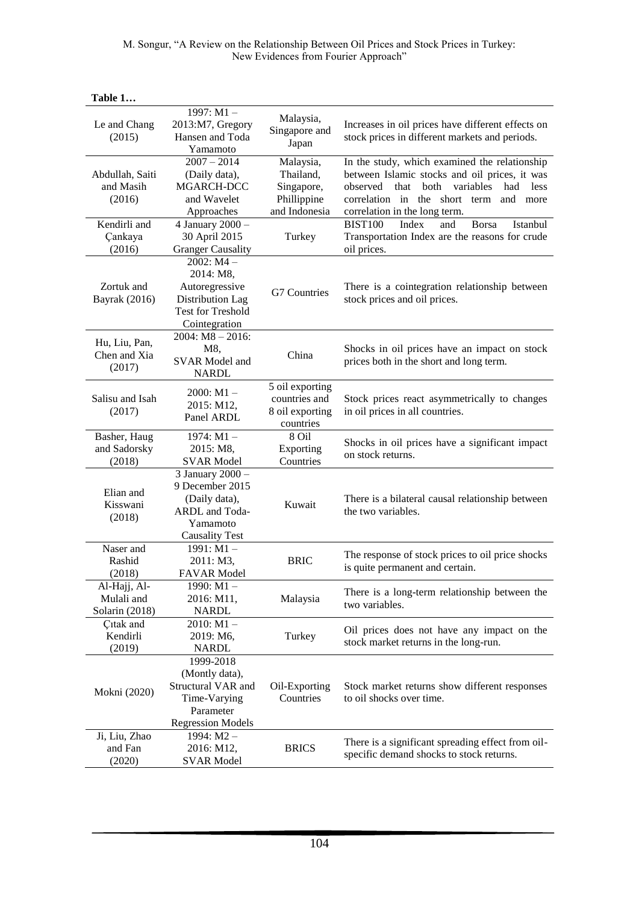M. Songur, "A Review on the Relationship Between Oil Prices and Stock Prices in Turkey: New Evidences from Fourier Approach"

| Le and Chang<br>(2015)                       | 1997: M1-<br>2013:M7, Gregory<br>Hansen and Toda<br>Yamamoto                                                 | Malaysia,<br>Singapore and<br>Japan                                  | Increases in oil prices have different effects on<br>stock prices in different markets and periods.                                                                                                                                  |
|----------------------------------------------|--------------------------------------------------------------------------------------------------------------|----------------------------------------------------------------------|--------------------------------------------------------------------------------------------------------------------------------------------------------------------------------------------------------------------------------------|
| Abdullah, Saiti<br>and Masih<br>(2016)       | $2007 - 2014$<br>(Daily data),<br>MGARCH-DCC<br>and Wavelet<br>Approaches                                    | Malaysia,<br>Thailand,<br>Singapore,<br>Phillippine<br>and Indonesia | In the study, which examined the relationship<br>between Islamic stocks and oil prices, it was<br>variables<br>had<br>observed<br>that<br>both<br>less<br>correlation in the short term<br>and more<br>correlation in the long term. |
| Kendirli and<br>Çankaya<br>(2016)            | 4 January 2000 -<br>30 April 2015<br><b>Granger Causality</b>                                                | Turkey                                                               | Index<br>and<br><b>Borsa</b><br>Istanbul<br><b>BIST100</b><br>Transportation Index are the reasons for crude<br>oil prices.                                                                                                          |
| Zortuk and<br><b>Bayrak</b> (2016)           | $2002: M4 -$<br>2014: M8,<br>Autoregressive<br>Distribution Lag<br><b>Test for Treshold</b><br>Cointegration | G7 Countries                                                         | There is a cointegration relationship between<br>stock prices and oil prices.                                                                                                                                                        |
| Hu, Liu, Pan,<br>Chen and Xia<br>(2017)      | $2004$ : M8 $- 2016$ :<br>M8,<br><b>SVAR Model and</b><br><b>NARDL</b>                                       | China                                                                | Shocks in oil prices have an impact on stock<br>prices both in the short and long term.                                                                                                                                              |
| Salisu and Isah<br>(2017)                    | $2000: M1 -$<br>2015: M12,<br>Panel ARDL                                                                     | 5 oil exporting<br>countries and<br>8 oil exporting<br>countries     | Stock prices react asymmetrically to changes<br>in oil prices in all countries.                                                                                                                                                      |
| Basher, Haug<br>and Sadorsky<br>(2018)       | 1974: $M1 -$<br>2015: M8,<br><b>SVAR Model</b>                                                               | 8 Oil<br>Exporting<br>Countries                                      | Shocks in oil prices have a significant impact<br>on stock returns.                                                                                                                                                                  |
| Elian and<br>Kisswani<br>(2018)              | 3 January 2000 -<br>9 December 2015<br>(Daily data),<br>ARDL and Toda-<br>Yamamoto<br><b>Causality Test</b>  | Kuwait                                                               | There is a bilateral causal relationship between<br>the two variables.                                                                                                                                                               |
| Naser and<br>Rashid<br>(2018)                | $1991: M1 -$<br>2011: M3,<br><b>FAVAR Model</b>                                                              | <b>BRIC</b>                                                          | The response of stock prices to oil price shocks<br>is quite permanent and certain.                                                                                                                                                  |
| Al-Hajj, Al-<br>Mulali and<br>Solarin (2018) | 1990: M1 –<br>2016: M11,<br><b>NARDL</b>                                                                     | Malaysia                                                             | There is a long-term relationship between the<br>two variables.                                                                                                                                                                      |
| Çıtak and<br>Kendirli<br>(2019)              | $2010: M1 -$<br>2019: M6,<br><b>NARDL</b>                                                                    | Turkey                                                               | Oil prices does not have any impact on the<br>stock market returns in the long-run.                                                                                                                                                  |
| Mokni (2020)                                 | 1999-2018<br>(Montly data),<br>Structural VAR and<br>Time-Varying<br>Parameter<br><b>Regression Models</b>   | Oil-Exporting<br>Countries                                           | Stock market returns show different responses<br>to oil shocks over time.                                                                                                                                                            |
| Ji, Liu, Zhao<br>and Fan<br>(2020)           | $1994: M2 -$<br>2016: M12,<br><b>SVAR Model</b>                                                              | <b>BRICS</b>                                                         | There is a significant spreading effect from oil-<br>specific demand shocks to stock returns.                                                                                                                                        |

#### **Table 1…**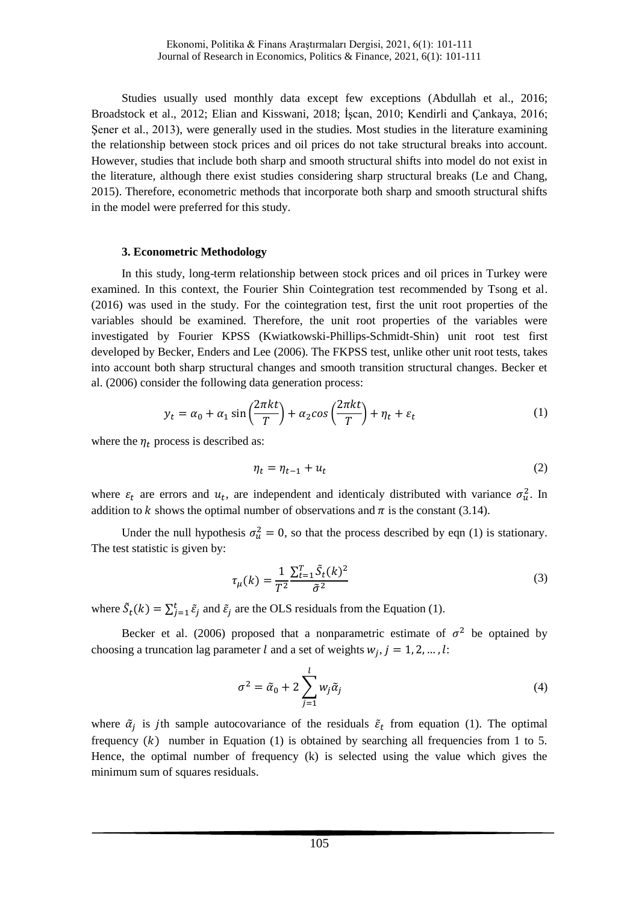Studies usually used monthly data except few exceptions (Abdullah et al., 2016; Broadstock et al., 2012; Elian and Kisswani, 2018; İşcan, 2010; Kendirli and Çankaya, 2016; Şener et al., 2013), were generally used in the studies. Most studies in the literature examining the relationship between stock prices and oil prices do not take structural breaks into account. However, studies that include both sharp and smooth structural shifts into model do not exist in the literature, although there exist studies considering sharp structural breaks (Le and Chang, 2015). Therefore, econometric methods that incorporate both sharp and smooth structural shifts in the model were preferred for this study.

### **3. Econometric Methodology**

In this study, long-term relationship between stock prices and oil prices in Turkey were examined. In this context, the Fourier Shin Cointegration test recommended by Tsong et al. (2016) was used in the study. For the cointegration test, first the unit root properties of the variables should be examined. Therefore, the unit root properties of the variables were investigated by Fourier KPSS (Kwiatkowski-Phillips-Schmidt-Shin) unit root test first developed by Becker, Enders and Lee (2006). The FKPSS test, unlike other unit root tests, takes into account both sharp structural changes and smooth transition structural changes. Becker et al. (2006) consider the following data generation process:

$$
y_t = \alpha_0 + \alpha_1 \sin\left(\frac{2\pi kt}{T}\right) + \alpha_2 \cos\left(\frac{2\pi kt}{T}\right) + \eta_t + \varepsilon_t \tag{1}
$$

where the  $\eta_t$  process is described as:

$$
\eta_t = \eta_{t-1} + u_t \tag{2}
$$

where  $\varepsilon_t$  are errors and  $u_t$ , are independent and identicaly distributed with variance  $\sigma_u^2$ . In addition to k shows the optimal number of observations and  $\pi$  is the constant (3.14).

Under the null hypothesis  $\sigma_u^2 = 0$ , so that the process described by eqn (1) is stationary. The test statistic is given by:

$$
\tau_{\mu}(k) = \frac{1}{T^2} \frac{\sum_{t=1}^{T} \tilde{S}_t(k)^2}{\tilde{\sigma}^2} \tag{3}
$$

where  $\tilde{S}_t(k) = \sum_{j=1}^t \tilde{\varepsilon}_j$  and  $\tilde{\varepsilon}_j$  are the OLS residuals from the Equation (1).

Becker et al. (2006) proposed that a nonparametric estimate of  $\sigma^2$  be optained by choosing a truncation lag parameter l and a set of weights  $w_i$ ,  $j = 1, 2, ..., l$ :

$$
\sigma^2 = \tilde{\alpha}_0 + 2 \sum_{j=1}^{l} w_j \tilde{\alpha}_j \tag{4}
$$

where  $\tilde{\alpha}_i$  is jth sample autocovariance of the residuals  $\tilde{\epsilon}_t$  from equation (1). The optimal frequency  $(k)$  number in Equation (1) is obtained by searching all frequencies from 1 to 5. Hence, the optimal number of frequency (k) is selected using the value which gives the minimum sum of squares residuals.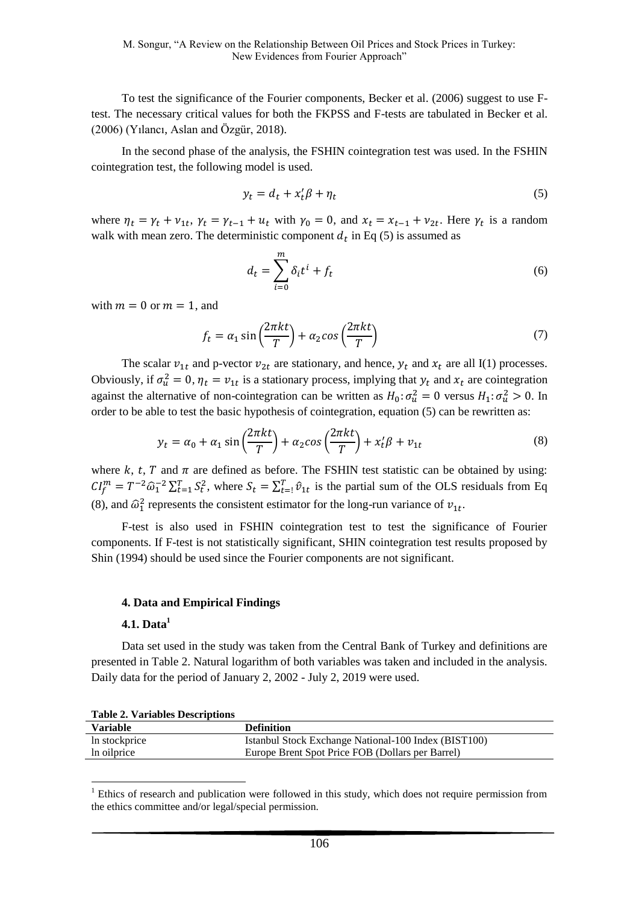To test the significance of the Fourier components, Becker et al. (2006) suggest to use Ftest. The necessary critical values for both the FKPSS and F-tests are tabulated in Becker et al. (2006) (Yılancı, Aslan and Özgür, 2018).

In the second phase of the analysis, the FSHIN cointegration test was used. In the FSHIN cointegration test, the following model is used.

$$
y_t = d_t + x_t' \beta + \eta_t \tag{5}
$$

where  $\eta_t = \gamma_t + \nu_{1t}$ ,  $\gamma_t = \gamma_{t-1} + u_t$  with  $\gamma_0 = 0$ , and  $x_t = x_{t-1} + \nu_{2t}$ . Here  $\gamma_t$  is a random walk with mean zero. The deterministic component  $d_t$  in Eq (5) is assumed as

$$
d_t = \sum_{i=0}^{m} \delta_i t^i + f_t \tag{6}
$$

with  $m = 0$  or  $m = 1$ , and

$$
f_t = \alpha_1 \sin\left(\frac{2\pi kt}{T}\right) + \alpha_2 \cos\left(\frac{2\pi kt}{T}\right) \tag{7}
$$

The scalar  $v_{1t}$  and p-vector  $v_{2t}$  are stationary, and hence,  $y_t$  and  $x_t$  are all I(1) processes. Obviously, if  $\sigma_u^2 = 0$ ,  $\eta_t = v_{1t}$  is a stationary process, implying that  $y_t$  and  $x_t$  are cointegration against the alternative of non-cointegration can be written as  $H_0: \sigma_u^2 = 0$  versus  $H_1: \sigma_u^2 > 0$ . In order to be able to test the basic hypothesis of cointegration, equation (5) can be rewritten as:

$$
y_t = \alpha_0 + \alpha_1 \sin\left(\frac{2\pi kt}{T}\right) + \alpha_2 \cos\left(\frac{2\pi kt}{T}\right) + x_t'\beta + v_{1t}
$$
\n<sup>(8)</sup>

where k, t, T and  $\pi$  are defined as before. The FSHIN test statistic can be obtained by using:  $CI_f^m = T^{-2} \hat{\omega}_1^{-2} \sum_{t=1}^T S_t^2$ , where  $S_t = \sum_{t=1}^T \hat{v}_{1t}$  is the partial sum of the OLS residuals from Eq (8), and  $\hat{\omega}_1^2$  represents the consistent estimator for the long-run variance of  $v_{1t}$ .

F-test is also used in FSHIN cointegration test to test the significance of Fourier components. If F-test is not statistically significant, SHIN cointegration test results proposed by Shin (1994) should be used since the Fourier components are not significant.

#### **4. Data and Empirical Findings**

#### **4.1. Data<sup>1</sup>**

<u>.</u>

Data set used in the study was taken from the Central Bank of Turkey and definitions are presented in Table 2. Natural logarithm of both variables was taken and included in the analysis. Daily data for the period of January 2, 2002 - July 2, 2019 were used.

|         | <b>Table 2. Variables Descriptions</b> |  |  |
|---------|----------------------------------------|--|--|
| --- --- |                                        |  |  |

| Variable      | <b>Definition</b>                                    |
|---------------|------------------------------------------------------|
| In stockprice | Istanbul Stock Exchange National-100 Index (BIST100) |
| In oilprice   | Europe Brent Spot Price FOB (Dollars per Barrel)     |

 $<sup>1</sup>$  Ethics of research and publication were followed in this study, which does not require permission from</sup> the ethics committee and/or legal/special permission.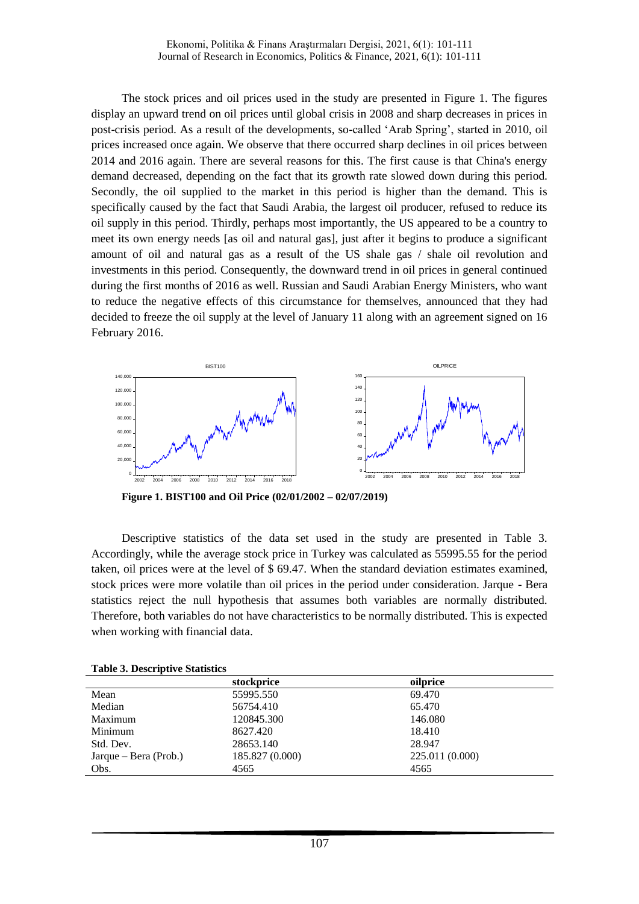The stock prices and oil prices used in the study are presented in Figure 1. The figures display an upward trend on oil prices until global crisis in 2008 and sharp decreases in prices in post-crisis period. As a result of the developments, so-called 'Arab Spring', started in 2010, oil prices increased once again. We observe that there occurred sharp declines in oil prices between 2014 and 2016 again. There are several reasons for this. The first cause is that China's energy demand decreased, depending on the fact that its growth rate slowed down during this period. Secondly, the oil supplied to the market in this period is higher than the demand. This is specifically caused by the fact that Saudi Arabia, the largest oil producer, refused to reduce its oil supply in this period. Thirdly, perhaps most importantly, the US appeared to be a country to meet its own energy needs [as oil and natural gas], just after it begins to produce a significant amount of oil and natural gas as a result of the US shale gas / shale oil revolution and investments in this period. Consequently, the downward trend in oil prices in general continued during the first months of 2016 as well. Russian and Saudi Arabian Energy Ministers, who want to reduce the negative effects of this circumstance for themselves, announced that they had decided to freeze the oil supply at the level of January 11 along with an agreement signed on 16 February 2016.



**Figure 1. BIST100 and Oil Price (02/01/2002 – 02/07/2019)**

Descriptive statistics of the data set used in the study are presented in Table 3. Accordingly, while the average stock price in Turkey was calculated as 55995.55 for the period taken, oil prices were at the level of \$ 69.47. When the standard deviation estimates examined, stock prices were more volatile than oil prices in the period under consideration. Jarque - Bera statistics reject the null hypothesis that assumes both variables are normally distributed. Therefore, both variables do not have characteristics to be normally distributed. This is expected when working with financial data.

|  | <b>Table 3. Descriptive Statistics</b> |  |
|--|----------------------------------------|--|
|  |                                        |  |

|                       | stockprice      | oilprice        |  |
|-----------------------|-----------------|-----------------|--|
| Mean                  | 55995.550       | 69.470          |  |
| Median                | 56754.410       | 65.470          |  |
| Maximum               | 120845.300      | 146.080         |  |
| Minimum               | 8627.420        | 18.410          |  |
| Std. Dev.             | 28653.140       | 28.947          |  |
| Jarque – Bera (Prob.) | 185.827 (0.000) | 225.011 (0.000) |  |
| Obs.                  | 4565            | 4565            |  |
|                       |                 |                 |  |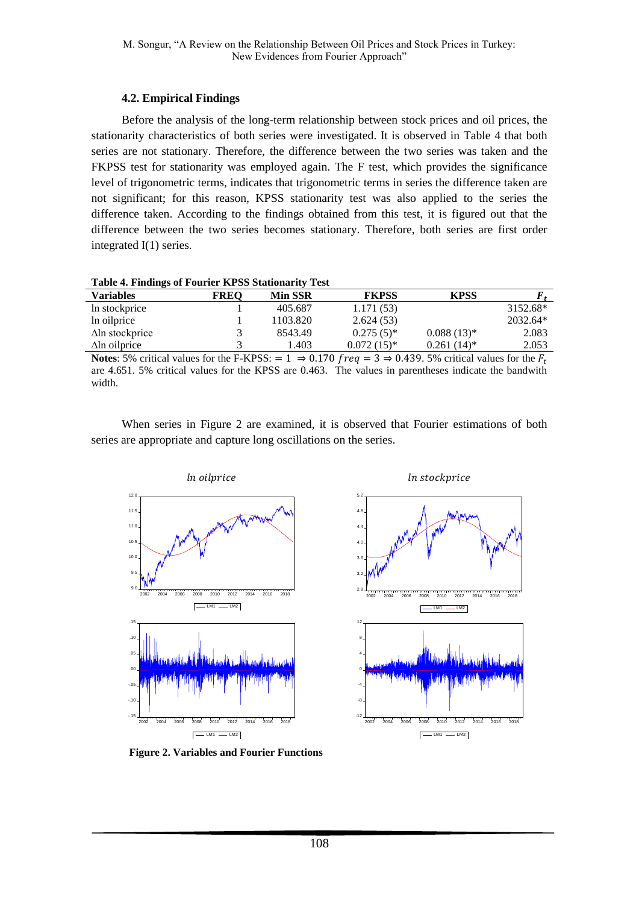## **4.2. Empirical Findings**

Before the analysis of the long-term relationship between stock prices and oil prices, the stationarity characteristics of both series were investigated. It is observed in Table 4 that both series are not stationary. Therefore, the difference between the two series was taken and the FKPSS test for stationarity was employed again. The F test, which provides the significance level of trigonometric terms, indicates that trigonometric terms in series the difference taken are not significant; for this reason, KPSS stationarity test was also applied to the series the difference taken. According to the findings obtained from this test, it is figured out that the difference between the two series becomes stationary. Therefore, both series are first order integrated I(1) series.

|  |  | Table 4. Findings of Fourier KPSS Stationarity Test |  |
|--|--|-----------------------------------------------------|--|
|  |  |                                                     |  |

| -                      |             |                |              |               |            |
|------------------------|-------------|----------------|--------------|---------------|------------|
| Variables              | <b>FREO</b> | <b>Min SSR</b> | <b>FKPSS</b> | <b>KPSS</b>   |            |
| In stockprice          |             | 405.687        | 1.171(53)    |               | 3152.68*   |
| In oilprice            |             | 1103.820       | 2.624(53)    |               | $2032.64*$ |
| $\Delta$ ln stockprice |             | 8543.49        | $0.275(5)^*$ | $0.088(13)*$  | 2.083      |
| $\Delta$ ln oilprice   |             | .403           | $0.072(15)*$ | $0.261(14)^*$ | 2.053      |
|                        |             |                |              |               |            |

**Notes:** 5% critical values for the F-KPSS:  $= 1 \Rightarrow 0.170$  freq  $= 3 \Rightarrow 0.439$ . 5% critical values for the  $F_t$ are 4.651. 5% critical values for the KPSS are 0.463. The values in parentheses indicate the bandwith width.

When series in Figure 2 are examined, it is observed that Fourier estimations of both series are appropriate and capture long oscillations on the series.





**Figure 2. Variables and Fourier Functions**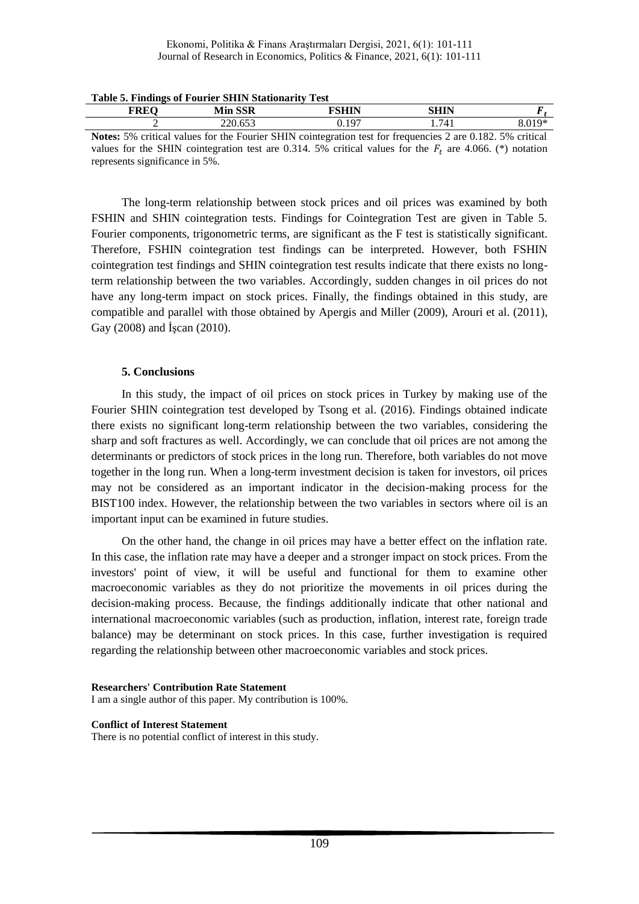#### Ekonomi, Politika & Finans Araştırmaları Dergisi, 2021, 6(1): 101-111 Journal of Research in Economics, Politics & Finance, 2021, 6(1): 101-111

| <b>FREO</b> | Min SSR                                                                                                           | FSHIN | SHIN  |        |
|-------------|-------------------------------------------------------------------------------------------------------------------|-------|-------|--------|
|             | 220.653                                                                                                           | 0.197 | 1.741 | 8.019* |
|             | <b>Notes:</b> 5% critical values for the Fourier SHIN cointegration test for frequencies 2 are 0.182. 5% critical |       |       |        |
|             | values for the SHIN cointegration test are 0.314. 5% critical values for the $F_t$ are 4.066. (*) notation        |       |       |        |

#### **Table 5. Findings of Fourier SHIN Stationarity Test**

values for the SHIN cointegration test are 0.314. 5% critical values for the  $F_t$  are 4.066. (\*) notation represents significance in 5%.

The long-term relationship between stock prices and oil prices was examined by both FSHIN and SHIN cointegration tests. Findings for Cointegration Test are given in Table 5. Fourier components, trigonometric terms, are significant as the F test is statistically significant. Therefore, FSHIN cointegration test findings can be interpreted. However, both FSHIN cointegration test findings and SHIN cointegration test results indicate that there exists no longterm relationship between the two variables. Accordingly, sudden changes in oil prices do not have any long-term impact on stock prices. Finally, the findings obtained in this study, are compatible and parallel with those obtained by Apergis and Miller (2009), Arouri et al. (2011), Gay (2008) and İşcan (2010).

## **5. Conclusions**

In this study, the impact of oil prices on stock prices in Turkey by making use of the Fourier SHIN cointegration test developed by Tsong et al. (2016). Findings obtained indicate there exists no significant long-term relationship between the two variables, considering the sharp and soft fractures as well. Accordingly, we can conclude that oil prices are not among the determinants or predictors of stock prices in the long run. Therefore, both variables do not move together in the long run. When a long-term investment decision is taken for investors, oil prices may not be considered as an important indicator in the decision-making process for the BIST100 index. However, the relationship between the two variables in sectors where oil is an important input can be examined in future studies.

On the other hand, the change in oil prices may have a better effect on the inflation rate. In this case, the inflation rate may have a deeper and a stronger impact on stock prices. From the investors' point of view, it will be useful and functional for them to examine other macroeconomic variables as they do not prioritize the movements in oil prices during the decision-making process. Because, the findings additionally indicate that other national and international macroeconomic variables (such as production, inflation, interest rate, foreign trade balance) may be determinant on stock prices. In this case, further investigation is required regarding the relationship between other macroeconomic variables and stock prices.

#### **Researchers' Contribution Rate Statement** I am a single author of this paper. My contribution is 100%.

## **Conflict of Interest Statement**

There is no potential conflict of interest in this study.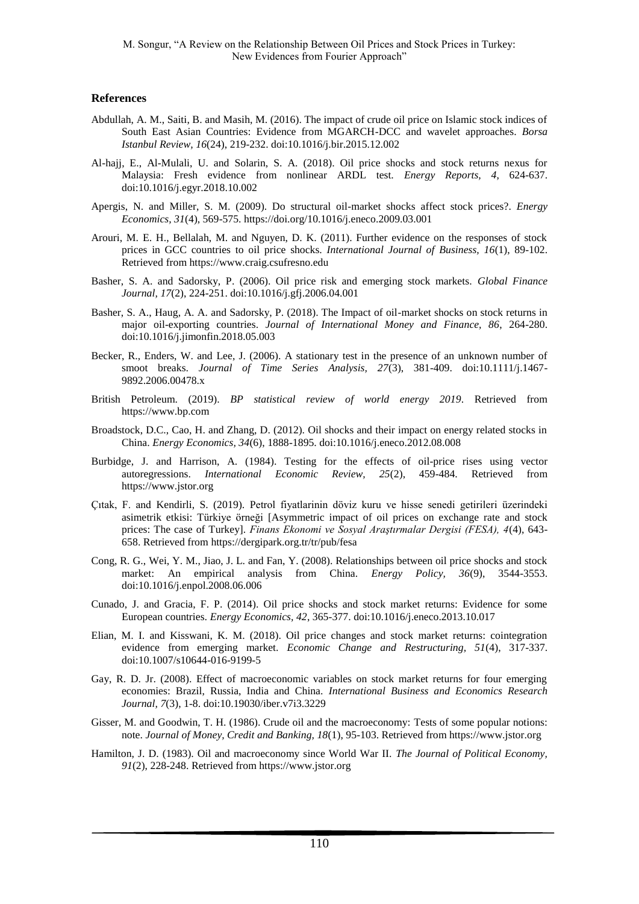#### **References**

- Abdullah, A. M., Saiti, B. and Masih, M. (2016). The impact of crude oil price on Islamic stock indices of South East Asian Countries: Evidence from MGARCH-DCC and wavelet approaches. *Borsa Istanbul Review, 16*(24), 219-232. doi:10.1016/j.bir.2015.12.002
- Al-hajj, E., Al-Mulali, U. and Solarin, S. A. (2018). Oil price shocks and stock returns nexus for Malaysia: Fresh evidence from nonlinear ARDL test. *Energy Reports, 4*, 624-637. doi:10.1016/j.egyr.2018.10.002
- Apergis, N. and Miller, S. M. (2009). Do structural oil-market shocks affect stock prices?. *Energy Economics, 31*(4), 569-575. https://doi.org/10.1016/j.eneco.2009.03.001
- Arouri, M. E. H., Bellalah, M. and Nguyen, D. K. (2011). Further evidence on the responses of stock prices in GCC countries to oil price shocks. *International Journal of Business, 16*(1), 89-102. Retrieved from https://www.craig.csufresno.edu
- Basher, S. A. and Sadorsky, P. (2006). Oil price risk and emerging stock markets. *Global Finance Journal, 17*(2), 224-251. doi:10.1016/j.gfj.2006.04.001
- Basher, S. A., Haug, A. A. and Sadorsky, P. (2018). The Impact of oil-market shocks on stock returns in major oil-exporting countries. *Journal of International Money and Finance, 86*, 264-280. doi:10.1016/j.jimonfin.2018.05.003
- Becker, R., Enders, W. and Lee, J. (2006). A stationary test in the presence of an unknown number of smoot breaks. *Journal of Time Series Analysis, 27*(3), 381-409. doi:10.1111/j.1467- 9892.2006.00478.x
- British Petroleum. (2019). *BP statistical review of world energy 2019*. Retrieved from https://www.bp.com
- Broadstock, D.C., Cao, H. and Zhang, D. (2012). Oil shocks and their impact on energy related stocks in China. *Energy Economics, 34*(6), 1888-1895. doi:10.1016/j.eneco.2012.08.008
- Burbidge, J. and Harrison, A. (1984). Testing for the effects of oil-price rises using vector autoregressions. *International Economic Review, 25*(2), 459-484. Retrieved from https://www.jstor.org
- Çıtak, F. and Kendirli, S. (2019). Petrol fiyatlarinin döviz kuru ve hisse senedi getirileri üzerindeki asimetrik etkisi: Türkiye örneği [Asymmetric impact of oil prices on exchange rate and stock prices: The case of Turkey]. *Finans Ekonomi ve Sosyal Araştırmalar Dergisi (FESA), 4*(4), 643- 658. Retrieved from https://dergipark.org.tr/tr/pub/fesa
- Cong, R. G., Wei, Y. M., Jiao, J. L. and Fan, Y. (2008). Relationships between oil price shocks and stock market: An empirical analysis from China. *Energy Policy, 36*(9), 3544-3553. doi:10.1016/j.enpol.2008.06.006
- Cunado, J. and Gracia, F. P. (2014). Oil price shocks and stock market returns: Evidence for some European countries*. Energy Economics, 42*, 365-377. doi:10.1016/j.eneco.2013.10.017
- Elian, M. I. and Kisswani, K. M. (2018). Oil price changes and stock market returns: cointegration evidence from emerging market. *Economic Change and Restructuring, 51*(4), 317-337. doi:10.1007/s10644-016-9199-5
- Gay, R. D. Jr. (2008). Effect of macroeconomic variables on stock market returns for four emerging economies: Brazil, Russia, India and China. *International Business and Economics Research Journal, 7*(3), 1-8. doi:10.19030/iber.v7i3.3229
- Gisser, M. and Goodwin, T. H. (1986). Crude oil and the macroeconomy: Tests of some popular notions: note. *Journal of Money, Credit and Banking, 18*(1), 95-103. Retrieved from https://www.jstor.org
- Hamilton, J. D. (1983). Oil and macroeconomy since World War II. *The Journal of Political Economy, 91*(2), 228-248. Retrieved from https://www.jstor.org